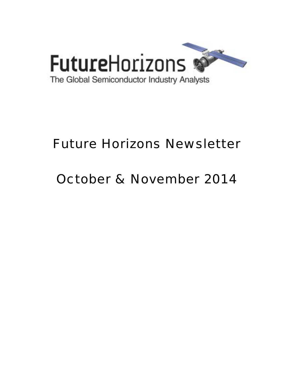

# Future Horizons Newsletter

# October & November 2014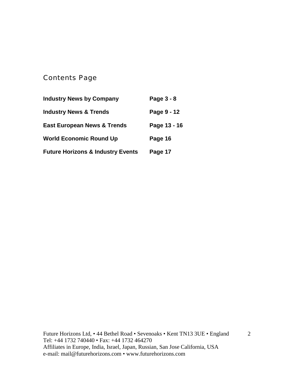# Contents Page

| <b>Industry News by Company</b>              | Page 3 - 8   |
|----------------------------------------------|--------------|
| <b>Industry News &amp; Trends</b>            | Page 9 - 12  |
| <b>East European News &amp; Trends</b>       | Page 13 - 16 |
| <b>World Economic Round Up</b>               | Page 16      |
| <b>Future Horizons &amp; Industry Events</b> | Page 17      |

Future Horizons Ltd, • 44 Bethel Road • Sevenoaks • Kent TN13 3UE • England Tel: +44 1732 740440 • Fax: +44 1732 464270 Affiliates in Europe, India, Israel, Japan, Russian, San Jose California, USA e-mail: mail@futurehorizons.com • www.futurehorizons.com

2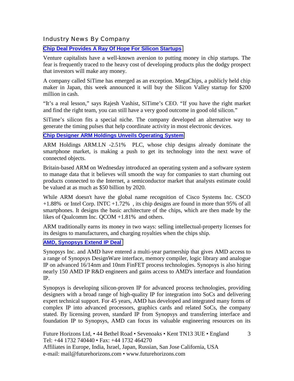# Industry News By Company

## **[Chip Deal Provides A Ray Of Hope For Silicon Startups](http://blogs.wsj.com/digits/2014/10/31/chip-deal-provides-a-ray-of-hope-for-silicon-startups/?mod=djemTECH_h)**

Venture capitalists have a well-known aversion to putting money in chip startups. The fear is frequently traced to the heavy cost of developing products plus the dodgy prospect that investors will make any money.

A company called SiTime has emerged as an exception. MegaChips, a publicly held chip maker in Japan, this week announced it will buy the Silicon Valley startup for \$200 million in cash.

"It's a real lesson," says Rajesh Vashist, SiTime's CEO. "If you have the right market and find the right team, you can still have a very good outcome in good old silicon."

SiTime's silicon fits a special niche. The company developed an alternative way to generate the timing pulses that help coordinate activity in most electronic devices.

#### **[Chip Designer ARM Holdings Unveils Operating System](http://online.wsj.com/articles/u-k-chip-designer-arm-holdings-introduces-new-operating-system-1412183702?tesla=y&mod=djemTECH_h&mg=reno64-wsj)**

ARM Holdings ARM.LN -2.51% PLC, whose chip designs already dominate the smartphone market, is making a push to get its technology into the next wave of connected objects.

Britain-based ARM on Wednesday introduced an operating system and a software system to manage data that it believes will smooth the way for companies to start churning out products connected to the Internet, a semiconductor market that analysts estimate could be valued at as much as \$50 billion by 2020.

While ARM doesn't have the global name recognition of Cisco Systems Inc. CSCO +1.88% or Intel Corp. INTC +1.72% , its chip designs are found in more than 95% of all smartphones. It designs the basic architecture of the chips, which are then made by the likes of Qualcomm Inc. QCOM +1.81% and others.

ARM traditionally earns its money in two ways: selling intellectual-property licenses for its designs to manufacturers, and charging royalties when the chips ship.

#### **[AMD, Synopsys Extend IP Deal](http://www.eetindia.co.in/ART_8800704329_1800000_NT_fa41384f.HTM)**

Synopsys Inc. and AMD have entered a multi-year partnership that gives AMD access to a range of Synopsys DesignWare interface, memory compiler, logic library and analogue IP on advanced 16/14nm and 10nm FinFET process technologies. Synopsys is also hiring nearly 150 AMD IP R&D engineers and gains access to AMD's interface and foundation IP.

Synopsys is developing silicon-proven IP for advanced process technologies, providing designers with a broad range of high-quality IP for integration into SoCs and delivering expert technical support. For 45 years, AMD has developed and integrated many forms of complex IP into advanced processors, graphics cards and related SoCs, the company stated. By licensing proven, standard IP from Synopsys and transferring interface and foundation IP to Synopsys, AMD can focus its valuable engineering resources on its

3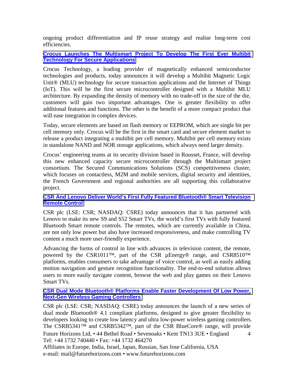ongoing product differentiation and IP reuse strategy and realise long-term cost efficiencies.

#### **[Crocus Launches The Multismart Project To Develop The First Ever Multibit](http://www.crocus-technology.com/Crocus_launches_the_Multismart_project_to_develop_Multibit_technology.php)  [Technology For Secure Applications](http://www.crocus-technology.com/Crocus_launches_the_Multismart_project_to_develop_Multibit_technology.php)**

Crocus Technology, a leading provider of magnetically enhanced semiconductor technologies and products, today announces it will develop a Multibit Magnetic Logic Unit<sup>®</sup> (MLU) technology for secure transaction applications and the Internet of Things (IoT). This will be the first secure microcontroller designed with a Multibit MLU architecture. By expanding the density of memory with no trade-off in the size of the die, customers will gain two important advantages. One is greater flexibility to offer additional features and functions. The other is the benefit of a more compact product that will ease integration in complex devices.

Today, secure elements are based on flash memory or EEPROM, which are single bit per cell memory only. Crocus will be the first in the smart card and secure element market to release a product integrating a multibit per cell memory. Multibit per cell memory exists in standalone NAND and NOR storage applications, which always need larger density.

Crocus' engineering teams at its security division based in Rousset, France, will develop this new enhanced capacity secure microcontroller through the Multismart project consortium. The Secured Communications Solutions (SCS) competitiveness cluster, which focuses on contactless, M2M and mobile services, digital security and identities, the French Government and regional authorities are all supporting this collaborative project.

#### **[CSR And Lenovo Deliver World's First Fully Featured Bluetooth® Smart Television](http://www.csr.com/news/pr/2014/csrlenovo)  [Remote Control](http://www.csr.com/news/pr/2014/csrlenovo)**

CSR plc (LSE: CSR; NASDAQ: CSRE) today announces that it has partnered with Lenovo to make its new S9 and S52 Smart TVs, the world's first TVs with fully featured Bluetooth Smart remote controls. The remotes, which are currently available in China, are not only low power but also have increased responsiveness, and make controlling TV content a much more user-friendly experience.

Advancing the forms of control in line with advances in television content, the remote, powered by the CSR1011™, part of the CSR µEnergy® range, and CSR8510™ platforms, enables consumers to take advantage of voice control, as well as easily adding motion navigation and gesture recognition functionality. The end-to-end solution allows users to more easily navigate content, browse the web and play games on their Lenovo Smart TVs.

#### **[CSR Dual Mode Bluetooth® Platforms Enable Faster Development Of Low Power,](http://www.csr.com/news/pr/2014/wireless-gaming-controllers)  [Next-Gen Wireless Gaming Controllers](http://www.csr.com/news/pr/2014/wireless-gaming-controllers)**

Future Horizons Ltd, • 44 Bethel Road • Sevenoaks • Kent TN13 3UE • England Tel: +44 1732 740440 • Fax: +44 1732 464270 4 CSR plc (LSE: CSR; NASDAQ: CSRE) today announces the launch of a new series of dual mode Bluetooth® 4.1 compliant platforms, designed to give greater flexibility to developers looking to create low latency and ultra low-power wireless gaming controllers. The CSRB5341™ and CSRB5342™, part of the CSR BlueCore® range, will provide

Affiliates in Europe, India, Israel, Japan, Russian, San Jose California, USA e-mail: mail@futurehorizons.com • www.futurehorizons.com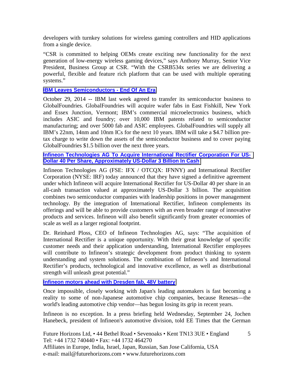developers with turnkey solutions for wireless gaming controllers and HID applications from a single device.

"CSR is committed to helping OEMs create exciting new functionality for the next generation of low-energy wireless gaming devices," says Anthony Murray, Senior Vice President, Business Group at CSR. "With the CSRB534x series we are delivering a powerful, flexible and feature rich platform that can be used with multiple operating systems."

# **[IBM Leaves Semiconductors - End Of An Era](http://www.design-reuse.com/news/35798/ibm-leaves-semiconductors-end-of-an-era.html)**

October 29, 2014 -- IBM last week agreed to transfer its semiconductor business to GlobalFoundries. GlobalFoundries will acquire wafer fabs in East Fishkill, New York and Essex Junction, Vermont; IBM's commercial microelectronics business, which includes ASIC and foundry; over 10,000 IBM patents related to semiconductor manufacturing; and over 5000 fab and ASIC employees. GlobalFoundries will supply all IBM's 22nm, 14nm and 10nm ICs for the next 10 years. IBM will take a \$4.7 billion pretax charge to write down the assets of the semiconductor business and to cover paying GlobalFoundries \$1.5 billion over the next three years.

**[Infineon Technologies AG To Acquire International Rectifier Corporation For US-](http://www.infineon.com/cms/en/about-infineon/press/press-releases/2014/INFXX201408-056.html)[Dollar 40 Per Share, Approximately US-Dollar 3 Billion In Cash](http://www.infineon.com/cms/en/about-infineon/press/press-releases/2014/INFXX201408-056.html)**

Infineon Technologies AG (FSE: IFX / OTCQX: IFNNY) and International Rectifier Corporation (NYSE: IRF) today announced that they have signed a definitive agreement under which Infineon will acquire International Rectifier for US-Dollar 40 per share in an all-cash transaction valued at approximately US-Dollar 3 billion. The acquisition combines two semiconductor companies with leadership positions in power management technology. By the integration of International Rectifier, Infineon complements its offerings and will be able to provide customers with an even broader range of innovative products and services. Infineon will also benefit significantly from greater economies of scale as well as a larger regional footprint.

Dr. Reinhard Ploss, CEO of Infineon Technologies AG, says: "The acquisition of International Rectifier is a unique opportunity. With their great knowledge of specific customer needs and their application understanding, International Rectifier employees will contribute to Infineon's strategic development from product thinking to system understanding and system solutions. The combination of Infineon's and International Rectifier's products, technological and innovative excellence, as well as distributional strength will unleash great potential."

**[Infineon motors ahead with Dresden fab, 48V battery](http://www.eetindia.co.in/ART_8800704635_1800007_NT_3ef1a5b1.HTM)**

Once impossible, closely working with Japan's leading automakers is fast becoming a reality to some of non-Japanese automotive chip companies, because Renesas—the world's leading automotive chip vendor—has begun losing its grip in recent years.

Infineon is no exception. In a press briefing held Wednesday, September 24, Jochen Hanebeck, president of Infineon's automotive division, told EE Times that the German

5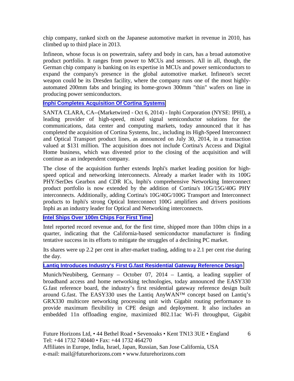chip company, ranked sixth on the Japanese automotive market in revenue in 2010, has climbed up to third place in 2013.

Infineon, whose focus is on powertrain, safety and body in cars, has a broad automotive product portfolio. It ranges from power to MCUs and sensors. All in all, though, the German chip company is banking on its expertise in MCUs and power semiconductors to expand the company's presence in the global automotive market. Infineon's secret weapon could be its Dresden facility, where the company runs one of the most highlyautomated 200mm fabs and bringing its home-grown 300mm "thin" wafers on line in producing power semiconductors.

#### **[Inphi Completes Acquisition Of Cortina Systems](http://www.marketwired.com/press-release/inphi-completes-acquisition-of-cortina-systems-nyse-iphi-1954597.htm)**

SANTA CLARA, CA--(Marketwired - Oct 6, 2014) - Inphi Corporation (NYSE: IPHI), a leading provider of high-speed, mixed signal semiconductor solutions for the communications, data center and computing markets, today announced that it has completed the acquisition of Cortina Systems, Inc., including its High-Speed Interconnect and Optical Transport product lines, as announced on July 30, 2014, in a transaction valued at \$131 million. The acquisition does not include Cortina's Access and Digital Home business, which was divested prior to the closing of the acquisition and will continue as an independent company.

The close of the acquisition further extends Inphi's market leading position for highspeed optical and networking interconnects. Already a market leader with its 100G PHY/SerDes Gearbox and CDR ICs, Inphi's comprehensive Networking Interconnect product portfolio is now extended by the addition of Cortina's 10G/15G/40G PHY interconnects. Additionally, adding Cortina's 10G/40G/100G Transport and Interconnect products to Inphi's strong Optical Interconnect 100G amplifiers and drivers positions Inphi as an industry leader for Optical and Networking interconnects.

#### **[Intel Ships Over 100m Chips For First Time](http://www.ft.com/cms/s/0/beff6e56-53ed-11e4-80db-00144feab7de.html?ftcamp=crm/email/20141014/nbe/AsiaMorningHeadlines/product&siteedition=uk#axzz3HRK1BJLe)**

Intel reported record revenue and, for the first time, shipped more than 100m chips in a quarter, indicating that the California-based semiconductor manufacturer is finding tentative success in its efforts to mitigate the struggles of a declining PC market.

Its shares were up 2.2 per cent in after-market trading, adding to a 2.1 per cent rise during the day.

#### **[Lantiq Introduces Industry's First G.fast Residential Gateway Reference Design](http://www.presseagentur.com/lantiq/detail.php?pr_id=3863&lang=en)**

Munich/Neubiberg, Germany – October 07, 2014 – Lantiq, a leading supplier of broadband access and home networking technologies, today announced the EASY330 G.fast reference board, the industry's first residential gateway reference design built around G.fast. The EASY330 uses the Lantiq AnyWAN™ concept based on Lantiq's GRX330 multicore networking processing unit with Gigabit routing performance to provide maximum flexibility in CPE design and deployment. It also includes an embedded 11n offloading engine, maximized 802.11ac Wi-Fi throughput, Gigabit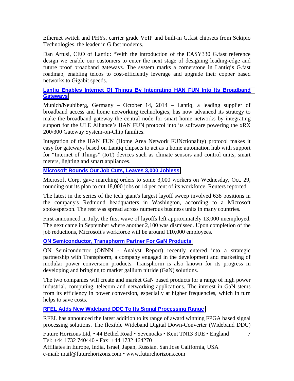Ethernet switch and PHYs, carrier grade VoIP and built-in G.fast chipsets from Sckipio Technologies, the leader in G.fast modems.

Dan Artusi, CEO of Lantiq: "With the introduction of the EASY330 G.fast reference design we enable our customers to enter the next stage of designing leading-edge and future proof broadband gateways. The system marks a cornerstone in Lantiq's G.fast roadmap, enabling telcos to cost-efficiently leverage and upgrade their copper based networks to Gigabit speeds.

#### **[Lantiq Enables Internet Of Things By Integrating HAN FUN Into Its Broadband](http://www.presseagentur.com/lantiq/detail.php?pr_id=3870&lang=en)  [Gateways](http://www.presseagentur.com/lantiq/detail.php?pr_id=3870&lang=en)**

Munich/Neubiberg, Germany – October 14, 2014 – Lantiq, a leading supplier of broadband access and home networking technologies, has now advanced its strategy to make the broadband gateway the central node for smart home networks by integrating support for the ULE Alliance's HAN FUN protocol into its software powering the xRX 200/300 Gateway System-on-Chip families.

Integration of the HAN FUN (Home Area Network FUNctionality) protocol makes it easy for gateways based on Lantiq chipsets to act as a home automation hub with support for "Internet of Things" (IoT) devices such as climate sensors and control units, smart meters, lighting and smart appliances.

# **[Microsoft Rounds Out Job Cuts, Leaves 3,000 Jobless](http://www.eetindia.co.in/ART_8800706025_1800007_NT_c68cfe41.HTM?click_from=8800120539,9950114561,2014-10-31,EEIOL,ARTICLE_ALERT)**

Microsoft Corp. gave marching orders to some 3,000 workers on Wednesday, Oct. 29, rounding out its plan to cut 18,000 jobs or 14 per cent of its workforce, Reuters reported.

The latest in the series of the tech giant's largest layoff sweep involved 638 positions in the company's Redmond headquarters in Washington, according to a Microsoft spokesperson. The rest was spread across numerous business units in many countries.

First announced in July, the first wave of layoffs left approximately 13,000 unemployed. The next came in September where another 2,100 was dismissed. Upon completion of the job reductions, Microsoft's workforce will be around 110,000 employees.

# **[ON Semiconductor, Transphorm Partner For GaN Products](http://www.zacks.com/stock/news/149112/on-semiconductor-transphorm-partner-for-gan-products)**

ON Semiconductor (ONNN - Analyst Report) recently entered into a strategic partnership with Transphorm, a company engaged in the development and marketing of modular power conversion products. Transphorm is also known for its progress in developing and bringing to market gallium nitride (GaN) solutions.

The two companies will create and market GaN based products for a range of high power industrial, computing, telecom and networking applications. The interest in GaN stems from its efficiency in power conversion, especially at higher frequencies, which in turn helps to save costs.

# **[RFEL Adds New Wideband DDC To Its Signal Processing Range](http://rfel.com/index.php/news/rfel-adds-new-wideband-ddc-to-its-signal-processing-range)**

RFEL has announced the latest addition to its range of award winning FPGA based signal processing solutions. The flexible Wideband Digital Down-Converter (Wideband DDC)

Future Horizons Ltd, • 44 Bethel Road • Sevenoaks • Kent TN13 3UE • England Tel: +44 1732 740440 • Fax: +44 1732 464270 7

Affiliates in Europe, India, Israel, Japan, Russian, San Jose California, USA e-mail: mail@futurehorizons.com • www.futurehorizons.com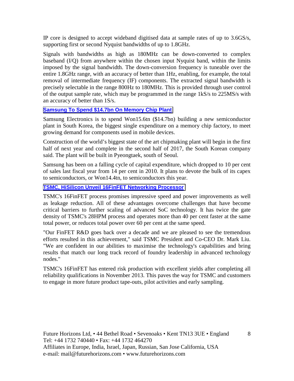IP core is designed to accept wideband digitised data at sample rates of up to 3.6GS/s, supporting first or second Nyquist bandwidths of up to 1.8GHz.

Signals with bandwidths as high as 180MHz can be down-converted to complex baseband (I/Q) from anywhere within the chosen input Nyquist band, within the limits imposed by the signal bandwidth. The down-conversion frequency is tuneable over the entire 1.8GHz range, with an accuracy of better than 1Hz, enabling, for example, the total removal of intermediate frequency (IF) components. The extracted signal bandwidth is precisely selectable in the range 800Hz to 180MHz. This is provided through user control of the output sample rate, which may be programmed in the range 1kS/s to 225MS/s with an accuracy of better than 1S/s.

# **[Samsung To Spend \\$14.7bn On Memory Chip Plant](http://www.ft.com/cms/s/0/b478b190-4d03-11e4-a0d7-00144feab7de.html?ftcamp=crm/email/2014106/nbe/USBusiness/product&siteedition=uk#axzz3FMS8eMDc)**

Samsung Electronics is to spend Won15.6tn (\$14.7bn) building a new semiconductor plant in South Korea, the biggest single expenditure on a memory chip factory, to meet growing demand for components used in mobile devices.

Construction of the world's biggest state of the art chipmaking plant will begin in the first half of next year and complete in the second half of 2017, the South Korean company said. The plant will be built in Pyeongtaek, south of Seoul.

Samsung has been on a falling cycle of capital expenditure, which dropped to 10 per cent of sales last fiscal year from 14 per cent in 2010. It plans to devote the bulk of its capex to semiconductors, or Won14.4tn, to semiconductors this year.

## **[TSMC, HiSilicon Unveil 16FinFET Networking Processor](http://www.eetindia.co.in/ART_8800704637_1800006_NT_e3926311.HTM)**

TSMC's 16FinFET process promises impressive speed and power improvements as well as leakage reduction. All of these advantages overcome challenges that have become critical barriers to further scaling of advanced SoC technology. It has twice the gate density of TSMC's 28HPM process and operates more than 40 per cent faster at the same total power, or reduces total power over 60 per cent at the same speed.

"Our FinFET R&D goes back over a decade and we are pleased to see the tremendous efforts resulted in this achievement," said TSMC President and Co-CEO Dr. Mark Liu. "We are confident in our abilities to maximise the technology's capabilities and bring results that match our long track record of foundry leadership in advanced technology nodes."

TSMC's 16FinFET has entered risk production with excellent yields after completing all reliability qualifications in November 2013. This paves the way for TSMC and customers to engage in more future product tape-outs, pilot activities and early sampling.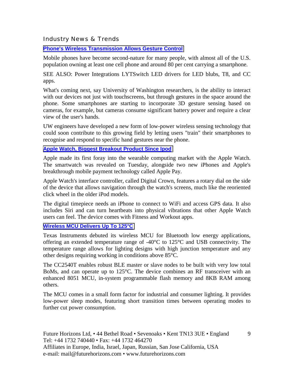Industry News & Trends

**[Phone's Wireless Transmission Allows Gesture Control](http://www.eetindia.co.in/ART_8800704370_1800005_NT_81981a74.HTM)**

Mobile phones have become second-nature for many people, with almost all of the U.S. population owning at least one cell phone and around 80 per cent carrying a smartphone.

SEE ALSO: Power Integrations LYTSwitch LED drivers for LED blubs, T8, and CC apps.

What's coming next, say University of Washington researchers, is the ability to interact with our devices not just with touchscreens, but through gestures in the space around the phone. Some smartphones are starting to incorporate 3D gesture sensing based on cameras, for example, but cameras consume significant battery power and require a clear view of the user's hands.

UW engineers have developed a new form of low-power wireless sensing technology that could soon contribute to this growing field by letting users "train" their smartphones to recognise and respond to specific hand gestures near the phone.

#### **[Apple Watch, Biggest Breakout Product Since Ipod](http://www.eetindia.co.in/ART_8800703883_1800001_NT_1b042bc0.HTM?click_from=8800118903,9950114561,2014-09-10,EEIOL,ARTICLE_ALERT)**

Apple made its first foray into the wearable computing market with the Apple Watch. The smartwatch was revealed on Tuesday, alongside two new iPhones and Apple's breakthrough mobile payment technology called Apple Pay.

Apple Watch's interface controller, called Digital Crown, features a rotary dial on the side of the device that allows navigation through the watch's screens, much like the reoriented click wheel in the older iPod models.

The digital timepiece needs an iPhone to connect to WiFi and access GPS data. It also includes Siri and can turn heartbeats into physical vibrations that other Apple Watch users can feel. The device comes with Fitness and Workout apps.

#### **[Wireless MCU Delivers Up To 125°C](http://www.eetindia.co.in/ART_8800703841_1800005_NP_886ec6d5.HTM?click_from=8800118903,9950114561,2014-09-10,EEIOL,ARTICLE_ALERT)**

Texas Instruments debuted its wireless MCU for Bluetooth low energy applications, offering an extended temperature range of -40°C to 125°C and USB connectivity. The temperature range allows for lighting designs with high junction temperature and any other designs requiring working in conditions above 85°C.

The CC2540T enables robust BLE master or slave nodes to be built with very low total BoMs, and can operate up to 125°C. The device combines an RF transceiver with an enhanced 8051 MCU, in-system programmable flash memory and 8KB RAM among others.

The MCU comes in a small form factor for industrial and consumer lighting. It provides low-power sleep modes, featuring short transition times between operating modes to further cut power consumption.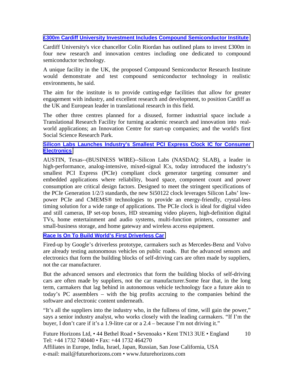## **[£300m Cardiff University Investment Includes Compound Semiconductor Institute](http://www.compoundsemiconductor.net/article/95264-300m-cardiff-university-investment-includes-compound-semiconductor-institute.html)**

Cardiff University's vice chancellor Colin Riordan has outlined plans to invest £300m in four new research and innovation centres including one dedicated to compound semiconductor technology.

A unique facility in the UK, the proposed Compound Semiconductor Research Institute would demonstrate and test compound semiconductor technology in realistic environments, he said.

The aim for the institute is to provide cutting-edge facilities that allow for greater engagement with industry, and excellent research and development, to position Cardiff as the UK and European leader in translational research in this field.

The other three centres planned for a disused, former industrial space include a Translational Research Facility for turning academic research and innovation into realworld applications; an Innovation Centre for start-up companies; and the world's first Social Science Research Park.

#### **[Silicon Labs Launches Industry's Smallest PCI Express Clock IC for Consumer](http://www.businesswire.com/news/home/20141001005098/en/Silicon-Labs-Launches-Industry%E2%80%99s-Smallest-PCI-Express#.VDJ3P8VdXKg)  [Electronics](http://www.businesswire.com/news/home/20141001005098/en/Silicon-Labs-Launches-Industry%E2%80%99s-Smallest-PCI-Express#.VDJ3P8VdXKg)**

AUSTIN, Texas--(BUSINESS WIRE)--Silicon Labs (NASDAQ: SLAB), a leader in high-performance, analog-intensive, mixed-signal ICs, today introduced the industry's smallest PCI Express (PCIe) compliant clock generator targeting consumer and embedded applications where reliability, board space, component count and power consumption are critical design factors. Designed to meet the stringent specifications of the PCIe Generation 1/2/3 standards, the new Si50122 clock leverages Silicon Labs' lowpower PCIe and CMEMS® technologies to provide an energy-friendly, crystal-less timing solution for a wide range of applications. The PCIe clock is ideal for digital video and still cameras, IP set-top boxes, HD streaming video players, high-definition digital TVs, home entertainment and audio systems, multi-function printers, consumer and small-business storage, and home gateway and wireless access equipment.

# **[Race Is On To Build World's First Driverless Car](http://www.ft.com/cms/s/0/08929ada-4eca-11e4-a1ef-00144feab7de.html?ftcamp=crm/email/20141013/nbe/CompaniesBySector/product&siteedition=uk#axzz3G0mExtXa)**

Fired-up by Google's driverless prototype, carmakers such as Mercedes-Benz and Volvo are already testing autonomous vehicles on public roads. But the advanced sensors and electronics that form the building blocks of self-driving cars are often made by suppliers, not the car manufacturer.

But the advanced sensors and electronics that form the building blocks of self-driving cars are often made by suppliers, not the car manufacturer.Some fear that, in the long term, carmakers that lag behind in autonomous vehicle technology face a future akin to today's PC assemblers – with the big profits accruing to the companies behind the software and electronic content underneath.

"It's all the suppliers into the industry who, in the fullness of time, will gain the power," says a senior industry analyst, who works closely with the leading carmakers. "If I'm the buyer, I don't care if it's a 1.9-litre car or a 2.4 – because I'm not driving it."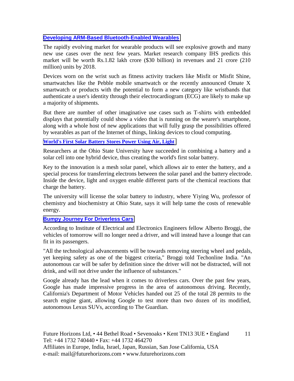# **[Developing ARM-Based Bluetooth-Enabled Wearables](http://www.eetindia.co.in/ART_8800704825_1800012_TA_8984f00b.HTM)**

The rapidly evolving market for wearable products will see explosive growth and many new use cases over the next few years. Market research company IHS predicts this market will be worth Rs.1.82 lakh crore (\$30 billion) in revenues and 21 crore (210 million) units by 2018.

Devices worn on the wrist such as fitness activity trackers like Misfit or Misfit Shine, smartwatches like the Pebble mobile smartwatch or the recently announced Omate X smartwatch or products with the potential to form a new category like wristbands that authenticate a user's identity through their electrocardiogram (ECG) are likely to make up a majority of shipments.

But there are number of other imaginative use cases such as T-shirts with embedded displays that potentially could show a video that is running on the wearer's smartphone, along with a whole host of new applications that will fully grasp the possibilities offered by wearables as part of the Internet of things, linking devices to cloud computing.

#### **[World's First Solar Battery Stores Power Using Air, Light](http://www.eetindia.co.in/ART_8800705000_1800008_NT_37919caf.HTM)**

Researchers at the Ohio State University have succeeded in combining a battery and a solar cell into one hybrid device, thus creating the world's first solar battery.

Key to the innovation is a mesh solar panel, which allows air to enter the battery, and a special process for transferring electrons between the solar panel and the battery electrode. Inside the device, light and oxygen enable different parts of the chemical reactions that charge the battery.

The university will license the solar battery to industry, where Yiying Wu, professor of chemistry and biochemistry at Ohio State, says it will help tame the costs of renewable energy.

#### **[Bumpy Journey For Driverless Cars](http://www.eetindia.co.in/ART_8800704722_1800001_NT_b5890a52.HTM?click_from=8800119580,9950114561,2014-09-30,EEIOL,ARTICLE_ALERT)**

According to Institute of Electrical and Electronics Engineers fellow Alberto Broggi, the vehicles of tomorrow will no longer need a driver, and will instead have a lounge that can fit in its passengers.

"All the technological advancements will be towards removing steering wheel and pedals, yet keeping safety as one of the biggest criteria," Broggi told Techonline India. "An autonomous car will be safer by definition since the driver will not be distracted, will not drink, and will not drive under the influence of substances."

Google already has the lead when it comes to driverless cars. Over the past few years, Google has made impressive progress in the area of autonomous driving. Recently, California's Department of Motor Vehicles handed out 25 of the total 28 permits to the search engine giant, allowing Google to test more than two dozen of its modified, autonomous Lexus SUVs, according to The Guardian.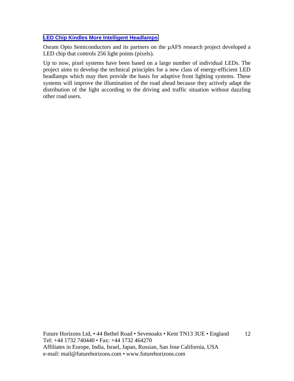# **[LED Chip Kindles More Intelligent Headlamps](http://www.eetindia.co.in/ART_8800705796_1800010_NT_98a75c6a.HTM)**

Osram Opto Semiconductors and its partners on the µAFS research project developed a LED chip that controls 256 light points (pixels).

Up to now, pixel systems have been based on a large number of individual LEDs. The project aims to develop the technical principles for a new class of energy-efficient LED headlamps which may then provide the basis for adaptive front lighting systems. These systems will improve the illumination of the road ahead because they actively adapt the distribution of the light according to the driving and traffic situation without dazzling other road users.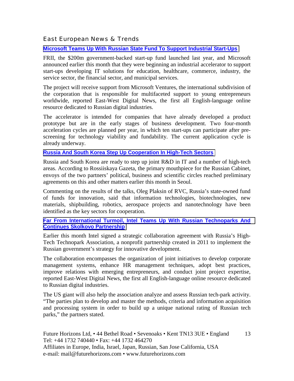# East European News & Trends

**[Microsoft Teams Up With Russian State Fund To Support Industrial Start-Ups](http://www.marchmontnews.com/Finance-Business/Central-regions/20940-Microsoft-teams-up-with-Russian-state-fund-support-industrial-start-ups.html)**

FRII, the \$200m government-backed start-up fund launched last year, and Microsoft announced earlier this month that they were beginning an industrial accelerator to support start-ups developing IT solutions for education, healthcare, commerce, industry, the service sector, the financial sector, and municipal services.

The project will receive support from Microsoft Ventures, the international subdivision of the corporation that is responsible for multifaceted support to young entrepreneurs worldwide, reported East-West Digital News, the first all English-language online resource dedicated to Russian digital industries.

The accelerator is intended for companies that have already developed a product prototype but are in the early stages of business development. Two four-month acceleration cycles are planned per year, in which ten start-ups can participate after prescreening for technology viability and fundability. The current application cycle is already underway.

#### **[Russia And South Korea Step Up Cooperation In High-Tech Sectors](http://www.marchmontnews.com/Finance-Business/Central-regions/20937-Russia-and-South-Korea-step-up-cooperation-high-tech-sectors.html)**

Russia and South Korea are ready to step up joint R&D in IT and a number of high-tech areas. According to Rossiiskaya Gazeta, the primary mouthpiece for the Russian Cabinet, envoys of the two partners' political, business and scientific circles reached preliminary agreements on this and other matters earlier this month in Seoul.

Commenting on the results of the talks, Oleg Plaksin of RVC, Russia's state-owned fund of funds for innovation, said that information technologies, biotechnologies, new materials, shipbuilding, robotics, aerospace projects and nanotechnology have been identified as the key sectors for cooperation.

#### **[Far From International Turmoil, Intel Teams Up With Russian Technoparks And](http://www.marchmontnews.com/Finance-Business/Central-regions/20928-Far-international-turmoil-Intel-teams-up-with-Russian-technoparks-and-continues-Skolkovo-partnership.html)  [Continues Skolkovo Partnership](http://www.marchmontnews.com/Finance-Business/Central-regions/20928-Far-international-turmoil-Intel-teams-up-with-Russian-technoparks-and-continues-Skolkovo-partnership.html)**

Earlier this month Intel signed a strategic collaboration agreement with Russia's High-Tech Technopark Association, a nonprofit partnership created in 2011 to implement the Russian government's strategy for innovative development.

The collaboration encompasses the organization of joint initiatives to develop corporate management systems, enhance HR management techniques, adopt best practices, improve relations with emerging entrepreneurs, and conduct joint project expertise, reported East-West Digital News, the first all English-language online resource dedicated to Russian digital industries.

The US giant will also help the association analyze and assess Russian tech-park activity. "The parties plan to develop and master the methods, criteria and information acquisition and processing system in order to build up a unique national rating of Russian tech parks," the partners stated.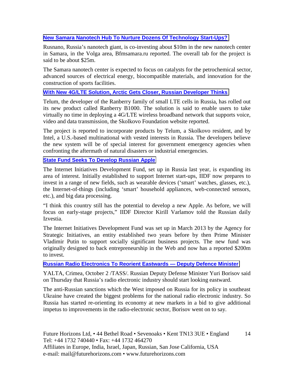# **[New Samara Nanotech Hub To Nurture Dozens Of Technology Start-Ups?](http://www.marchmontnews.com/Real-Estate/Volga/20967-New-Samara-nanotech-hub-nurture-dozens-technology-start-ups.html)**

Rusnano, Russia's nanotech giant, is co-investing about \$10m in the new nanotech center in Samara, in the Volga area, Bfmsamara.ru reported. The overall tab for the project is said to be about \$25m.

The Samara nanotech center is expected to focus on catalysts for the petrochemical sector, advanced sources of electrical energy, biocompatible materials, and innovation for the construction of sports facilities.

#### **[With New 4G/LTE Solution, Arctic Gets Closer, Russian Developer Thinks](http://www.marchmontnews.com/Telecoms-Media/Central-regions/20961-With-new-4GLTE-solution-Arctic-gets-closer-Russian-developer-thinks.html)**

Telum, the developer of the Ranberry family of small LTE cells in Russia, has rolled out its new product called Ranberry B1000. The solution is said to enable users to take virtually no time in deploying a 4G/LTE wireless broadband network that supports voice, video and data transmission, the Skolkovo Foundation website reported.

The project is reported to incorporate products by Telum, a Skolkovo resident, and by Intel, a U.S.-based multinational with vested interests in Russia. The developers believe the new system will be of special interest for government emergency agencies when confronting the aftermath of natural disasters or industrial emergencies.

#### **[State Fund Seeks To Develop Russian Apple](http://www.marchmontnews.com/Finance-Business/Central-regions/20950-State-fund-seeks-develop-Russian-Apple.html)**

The Internet Initiatives Development Fund, set up in Russia last year, is expanding its area of interest. Initially established to support Internet start-ups, IIDF now prepares to invest in a range of new fields, such as wearable devices ('smart' watches, glasses, etc.), the Internet-of-things (including 'smart' household appliances, web-connected sensors, etc.), and big data processing.

"I think this country still has the potential to develop a new Apple. As before, we will focus on early-stage projects," IIDF Director Kirill Varlamov told the Russian daily Izvestia.

The Internet Initiatives Development Fund was set up in March 2013 by the Agency for Strategic Initiatives, an entity established two years before by then Prime Minister Vladimir Putin to support socially significant business projects. The new fund was originally designed to back entrepreneurship in the Web and now has a reported \$200m to invest.

#### **[Russian Radio Electronics To Reorient Eastwards — Deputy Defence Minister](http://en.itar-tass.com/economy/752508)**

YALTA, Crimea, October 2 /TASS/. Russian Deputy Defense Minister Yuri Borisov said on Thursday that Russia's radio electronic industry should start looking eastward.

The anti-Russian sanctions which the West imposed on Russia for its policy in southeast Ukraine have created the biggest problems for the national radio electronic industry. So Russia has started re-orienting its economy at new markets in a bid to give additional impetus to improvements in the radio-electronic sector, Borisov went on to say.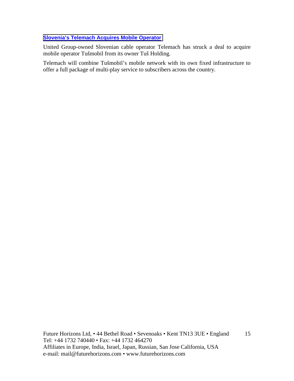# **[Slovenia's Telemach Acquires Mobile Operator](http://world.einnews.com/article/230086181/o2NaIcmX5I73_as1?n=2&code=orHE2ZxuoQbCWfS7)**

United Group-owned Slovenian cable operator Telemach has struck a deal to acquire mobile operator Tušmobil from its owner Tuš Holding.

Telemach will combine Tušmobil's mobile network with its own fixed infrastructure to offer a full package of multi-play service to subscribers across the country.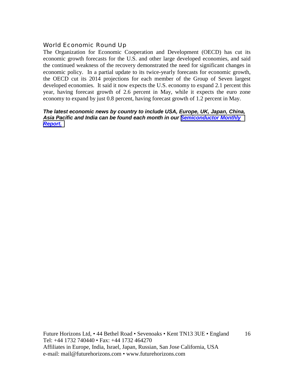# World Economic Round Up

The Organization for Economic Cooperation and Development (OECD) has cut its economic growth forecasts for the U.S. and other large developed economies, and said the continued weakness of the recovery demonstrated the need for significant changes in economic policy. In a partial update to its twice-yearly forecasts for economic growth, the OECD cut its 2014 projections for each member of the Group of Seven largest developed economies. It said it now expects the U.S. economy to expand 2.1 percent this year, having forecast growth of 2.6 percent in May, while it expects the euro zone economy to expand by just 0.8 percent, having forecast growth of 1.2 percent in May.

#### *The latest economic news by country to include USA, Europe, UK, Japan, China, Asia Pacific and India can be found each month in our [Semiconductor Monthly](http://www.futurehorizons.com/page/18/Global-Semiconductor-Report)  [Report.](http://www.futurehorizons.com/page/18/Global-Semiconductor-Report)*